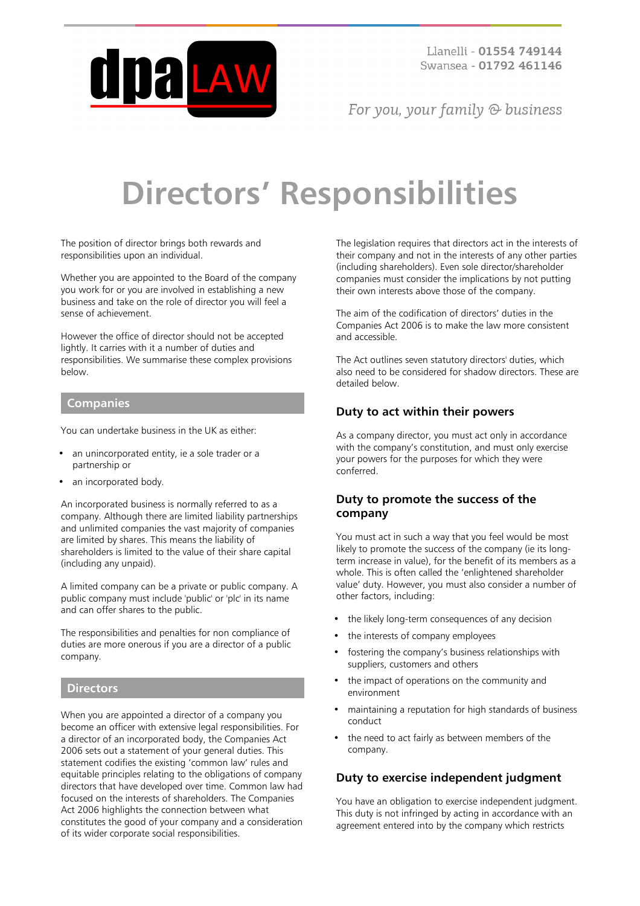

For you, your family  $\odot$  business

# **Directors' Responsibilities**

The position of director brings both rewards and responsibilities upon an individual.

Whether you are appointed to the Board of the company you work for or you are involved in establishing a new business and take on the role of director you will feel a sense of achievement.

However the office of director should not be accepted lightly. It carries with it a number of duties and responsibilities. We summarise these complex provisions below.

#### **Companies**

You can undertake business in the UK as either:

- an unincorporated entity, ie a sole trader or a partnership or
- an incorporated body.

An incorporated business is normally referred to as a company. Although there are limited liability partnerships and unlimited companies the vast majority of companies are limited by shares. This means the liability of shareholders is limited to the value of their share capital (including any unpaid).

A limited company can be a private or public company. A public company must include 'public' or 'plc' in its name and can offer shares to the public.

The responsibilities and penalties for non compliance of duties are more onerous if you are a director of a public company.

#### **Directors**

When you are appointed a director of a company you become an officer with extensive legal responsibilities. For a director of an incorporated body, the Companies Act 2006 sets out a statement of your general duties. This statement codifies the existing 'common law' rules and equitable principles relating to the obligations of company directors that have developed over time. Common law had focused on the interests of shareholders. The Companies Act 2006 highlights the connection between what constitutes the good of your company and a consideration of its wider corporate social responsibilities.

The legislation requires that directors act in the interests of their company and not in the interests of any other parties (including shareholders). Even sole director/shareholder companies must consider the implications by not putting their own interests above those of the company.

The aim of the codification of directors' duties in the Companies Act 2006 is to make the law more consistent and accessible.

The Act outlines seven statutory directors' duties, which also need to be considered for shadow directors. These are detailed below.

#### **Duty to act within their powers**

As a company director, you must act only in accordance with the company's constitution, and must only exercise your powers for the purposes for which they were conferred.

## **Duty to promote the success of the company**

You must act in such a way that you feel would be most likely to promote the success of the company (ie its longterm increase in value), for the benefit of its members as a whole. This is often called the 'enlightened shareholder value' duty. However, you must also consider a number of other factors, including:

- the likely long-term consequences of any decision
- the interests of company employees
- fostering the company's business relationships with suppliers, customers and others
- the impact of operations on the community and environment
- maintaining a reputation for high standards of business conduct
- the need to act fairly as between members of the company.

#### **Duty to exercise independent judgment**

You have an obligation to exercise independent judgment. This duty is not infringed by acting in accordance with an agreement entered into by the company which restricts